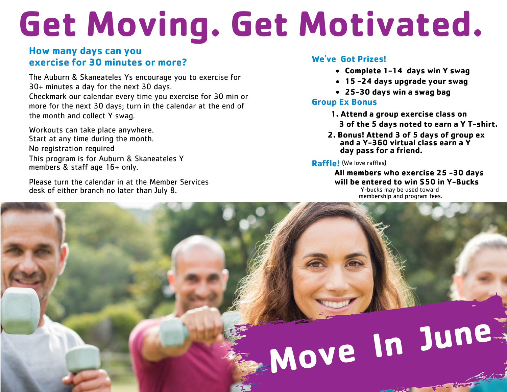# **Get Moving. Get Motivated.**

## **How many days can you exercise for 30 minutes or more?**

The Auburn & Skaneateles Ys encourage you to exercise for 30+ minutes a day for the next 30 days.

Checkmark our calendar every time you exercise for 30 min or more for the next 30 days; turn in the calendar at the end of the month and collect Y swag.

Workouts can take place anywhere. Start at any time during the month. No registration required This program is for Auburn & Skaneateles Y members & staff age 16+ only.

Please turn the calendar in at the Member Services desk of either branch no later than July 8.

# **We've Got Prizes!**

- **Complete 1-14 days win Y swag**
- **15 -24 days upgrade your swag**
- **25-30 days win a swag bag**

### **Group Ex Bonus**

- **1. Attend a group exercise class on 3 of the 5 days noted to earn a Y T-shirt.**
- **2. Bonus! Attend 3 of 5 days of group ex and a Y-360 virtual class earn a Y day pass for a friend.**

### **Raffle!** (We love raffles)

**All members who exercise 25 -30 days will be entered to win \$50 in Y-Bucks**

Y-bucks may be used toward membership and program fees.

# **Move In Jun<sup>e</sup>**